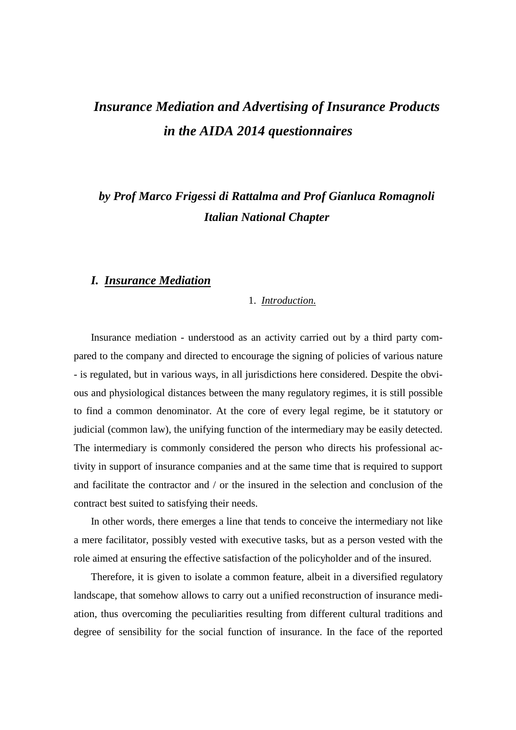# *Insurance Mediation and Advertising of Insurance Products in the AIDA 2014 questionnaires*

*by Prof Marco Frigessi di Rattalma and Prof Gianluca Romagnoli Italian National Chapter* 

### *I. Insurance Mediation*

#### 1. *Introduction.*

Insurance mediation - understood as an activity carried out by a third party compared to the company and directed to encourage the signing of policies of various nature - is regulated, but in various ways, in all jurisdictions here considered. Despite the obvious and physiological distances between the many regulatory regimes, it is still possible to find a common denominator. At the core of every legal regime, be it statutory or judicial (common law), the unifying function of the intermediary may be easily detected. The intermediary is commonly considered the person who directs his professional activity in support of insurance companies and at the same time that is required to support and facilitate the contractor and / or the insured in the selection and conclusion of the contract best suited to satisfying their needs.

In other words, there emerges a line that tends to conceive the intermediary not like a mere facilitator, possibly vested with executive tasks, but as a person vested with the role aimed at ensuring the effective satisfaction of the policyholder and of the insured.

Therefore, it is given to isolate a common feature, albeit in a diversified regulatory landscape, that somehow allows to carry out a unified reconstruction of insurance mediation, thus overcoming the peculiarities resulting from different cultural traditions and degree of sensibility for the social function of insurance. In the face of the reported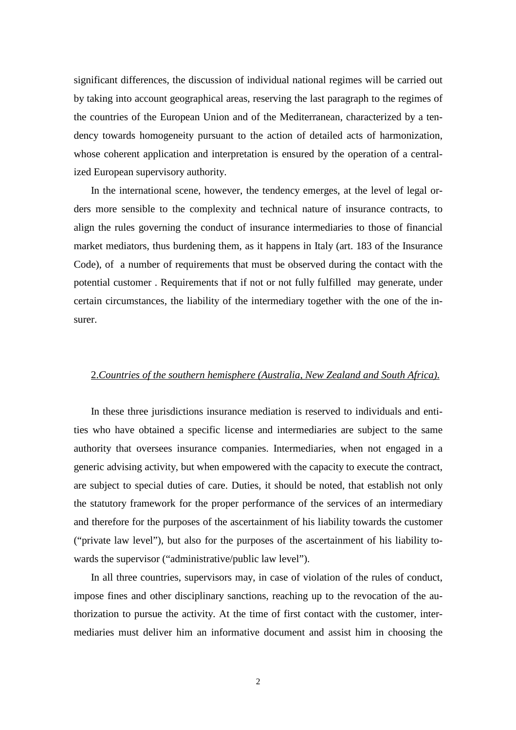significant differences, the discussion of individual national regimes will be carried out by taking into account geographical areas, reserving the last paragraph to the regimes of the countries of the European Union and of the Mediterranean, characterized by a tendency towards homogeneity pursuant to the action of detailed acts of harmonization, whose coherent application and interpretation is ensured by the operation of a centralized European supervisory authority.

In the international scene, however, the tendency emerges, at the level of legal orders more sensible to the complexity and technical nature of insurance contracts, to align the rules governing the conduct of insurance intermediaries to those of financial market mediators, thus burdening them, as it happens in Italy (art. 183 of the Insurance Code), of a number of requirements that must be observed during the contact with the potential customer . Requirements that if not or not fully fulfilled may generate, under certain circumstances, the liability of the intermediary together with the one of the insurer.

#### 2.*Countries of the southern hemisphere (Australia, New Zealand and South Africa)*.

In these three jurisdictions insurance mediation is reserved to individuals and entities who have obtained a specific license and intermediaries are subject to the same authority that oversees insurance companies. Intermediaries, when not engaged in a generic advising activity, but when empowered with the capacity to execute the contract, are subject to special duties of care. Duties, it should be noted, that establish not only the statutory framework for the proper performance of the services of an intermediary and therefore for the purposes of the ascertainment of his liability towards the customer ("private law level"), but also for the purposes of the ascertainment of his liability towards the supervisor ("administrative/public law level").

In all three countries, supervisors may, in case of violation of the rules of conduct, impose fines and other disciplinary sanctions, reaching up to the revocation of the authorization to pursue the activity. At the time of first contact with the customer, intermediaries must deliver him an informative document and assist him in choosing the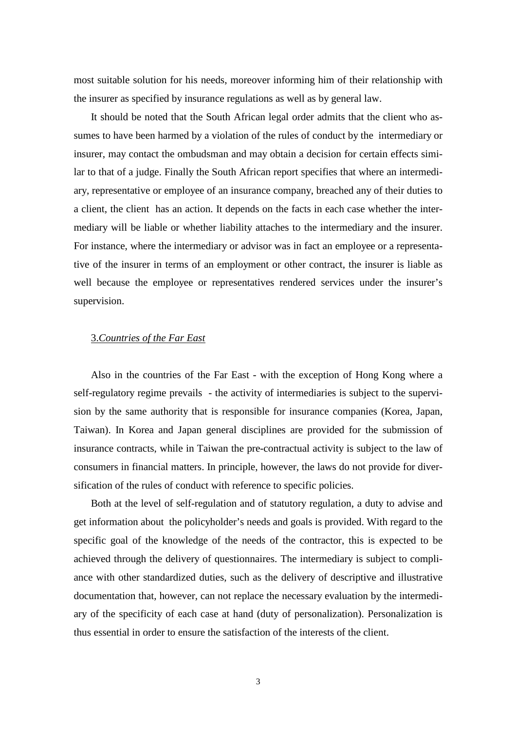most suitable solution for his needs, moreover informing him of their relationship with the insurer as specified by insurance regulations as well as by general law.

It should be noted that the South African legal order admits that the client who assumes to have been harmed by a violation of the rules of conduct by the intermediary or insurer, may contact the ombudsman and may obtain a decision for certain effects similar to that of a judge. Finally the South African report specifies that where an intermediary, representative or employee of an insurance company, breached any of their duties to a client, the client has an action. It depends on the facts in each case whether the intermediary will be liable or whether liability attaches to the intermediary and the insurer. For instance, where the intermediary or advisor was in fact an employee or a representative of the insurer in terms of an employment or other contract, the insurer is liable as well because the employee or representatives rendered services under the insurer's supervision.

#### 3.*Countries of the Far East*

Also in the countries of the Far East - with the exception of Hong Kong where a self-regulatory regime prevails - the activity of intermediaries is subject to the supervision by the same authority that is responsible for insurance companies (Korea, Japan, Taiwan). In Korea and Japan general disciplines are provided for the submission of insurance contracts, while in Taiwan the pre-contractual activity is subject to the law of consumers in financial matters. In principle, however, the laws do not provide for diversification of the rules of conduct with reference to specific policies.

Both at the level of self-regulation and of statutory regulation, a duty to advise and get information about the policyholder's needs and goals is provided. With regard to the specific goal of the knowledge of the needs of the contractor, this is expected to be achieved through the delivery of questionnaires. The intermediary is subject to compliance with other standardized duties, such as the delivery of descriptive and illustrative documentation that, however, can not replace the necessary evaluation by the intermediary of the specificity of each case at hand (duty of personalization). Personalization is thus essential in order to ensure the satisfaction of the interests of the client.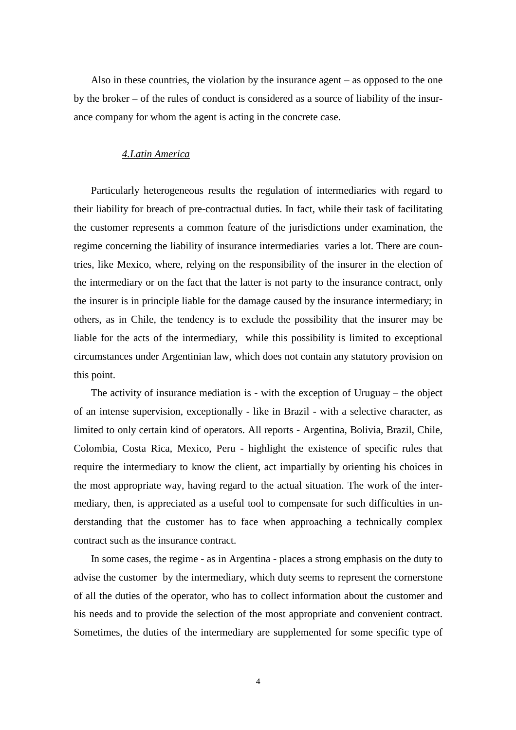Also in these countries, the violation by the insurance agent – as opposed to the one by the broker – of the rules of conduct is considered as a source of liability of the insurance company for whom the agent is acting in the concrete case.

#### *4.Latin America*

Particularly heterogeneous results the regulation of intermediaries with regard to their liability for breach of pre-contractual duties. In fact, while their task of facilitating the customer represents a common feature of the jurisdictions under examination, the regime concerning the liability of insurance intermediaries varies a lot. There are countries, like Mexico, where, relying on the responsibility of the insurer in the election of the intermediary or on the fact that the latter is not party to the insurance contract, only the insurer is in principle liable for the damage caused by the insurance intermediary; in others, as in Chile, the tendency is to exclude the possibility that the insurer may be liable for the acts of the intermediary, while this possibility is limited to exceptional circumstances under Argentinian law, which does not contain any statutory provision on this point.

The activity of insurance mediation is - with the exception of Uruguay – the object of an intense supervision, exceptionally - like in Brazil - with a selective character, as limited to only certain kind of operators. All reports - Argentina, Bolivia, Brazil, Chile, Colombia, Costa Rica, Mexico, Peru - highlight the existence of specific rules that require the intermediary to know the client, act impartially by orienting his choices in the most appropriate way, having regard to the actual situation. The work of the intermediary, then, is appreciated as a useful tool to compensate for such difficulties in understanding that the customer has to face when approaching a technically complex contract such as the insurance contract.

In some cases, the regime - as in Argentina - places a strong emphasis on the duty to advise the customer by the intermediary, which duty seems to represent the cornerstone of all the duties of the operator, who has to collect information about the customer and his needs and to provide the selection of the most appropriate and convenient contract. Sometimes, the duties of the intermediary are supplemented for some specific type of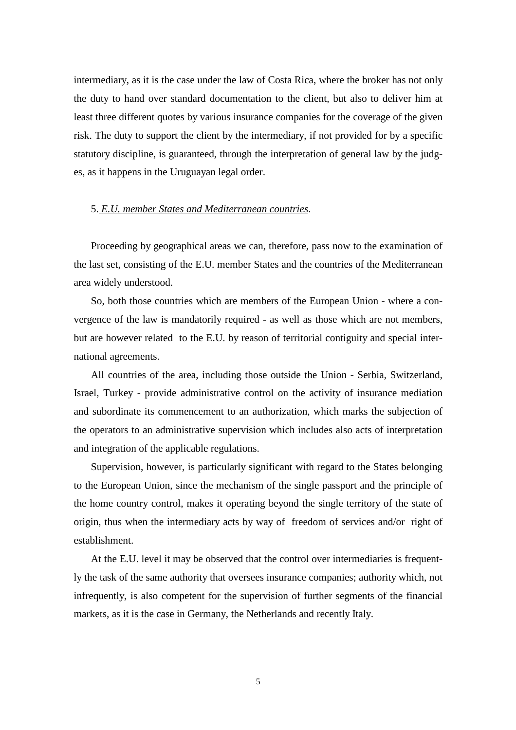intermediary, as it is the case under the law of Costa Rica, where the broker has not only the duty to hand over standard documentation to the client, but also to deliver him at least three different quotes by various insurance companies for the coverage of the given risk. The duty to support the client by the intermediary, if not provided for by a specific statutory discipline, is guaranteed, through the interpretation of general law by the judges, as it happens in the Uruguayan legal order.

#### 5. *E.U. member States and Mediterranean countries*.

Proceeding by geographical areas we can, therefore, pass now to the examination of the last set, consisting of the E.U. member States and the countries of the Mediterranean area widely understood.

So, both those countries which are members of the European Union - where a convergence of the law is mandatorily required - as well as those which are not members, but are however related to the E.U. by reason of territorial contiguity and special international agreements.

All countries of the area, including those outside the Union - Serbia, Switzerland, Israel, Turkey - provide administrative control on the activity of insurance mediation and subordinate its commencement to an authorization, which marks the subjection of the operators to an administrative supervision which includes also acts of interpretation and integration of the applicable regulations.

Supervision, however, is particularly significant with regard to the States belonging to the European Union, since the mechanism of the single passport and the principle of the home country control, makes it operating beyond the single territory of the state of origin, thus when the intermediary acts by way of freedom of services and/or right of establishment.

At the E.U. level it may be observed that the control over intermediaries is frequently the task of the same authority that oversees insurance companies; authority which, not infrequently, is also competent for the supervision of further segments of the financial markets, as it is the case in Germany, the Netherlands and recently Italy.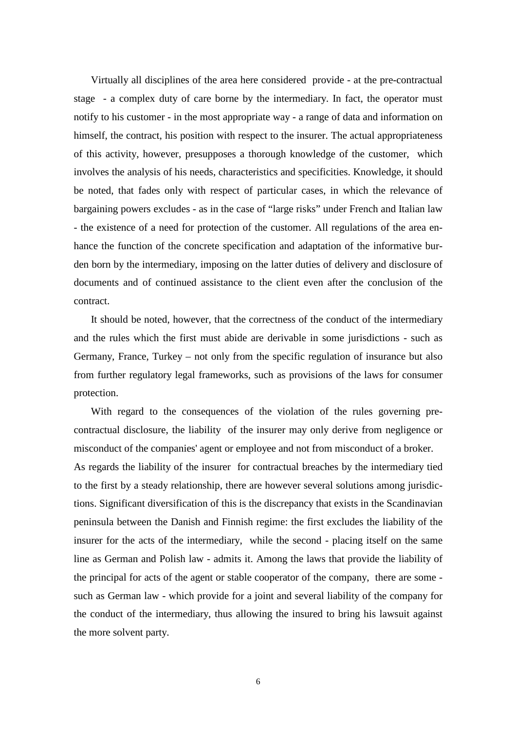Virtually all disciplines of the area here considered provide - at the pre-contractual stage - a complex duty of care borne by the intermediary. In fact, the operator must notify to his customer - in the most appropriate way - a range of data and information on himself, the contract, his position with respect to the insurer. The actual appropriateness of this activity, however, presupposes a thorough knowledge of the customer, which involves the analysis of his needs, characteristics and specificities. Knowledge, it should be noted, that fades only with respect of particular cases, in which the relevance of bargaining powers excludes - as in the case of "large risks" under French and Italian law - the existence of a need for protection of the customer. All regulations of the area enhance the function of the concrete specification and adaptation of the informative burden born by the intermediary, imposing on the latter duties of delivery and disclosure of documents and of continued assistance to the client even after the conclusion of the contract.

It should be noted, however, that the correctness of the conduct of the intermediary and the rules which the first must abide are derivable in some jurisdictions - such as Germany, France, Turkey – not only from the specific regulation of insurance but also from further regulatory legal frameworks, such as provisions of the laws for consumer protection.

With regard to the consequences of the violation of the rules governing precontractual disclosure, the liability of the insurer may only derive from negligence or misconduct of the companies' agent or employee and not from misconduct of a broker. As regards the liability of the insurer for contractual breaches by the intermediary tied to the first by a steady relationship, there are however several solutions among jurisdictions. Significant diversification of this is the discrepancy that exists in the Scandinavian peninsula between the Danish and Finnish regime: the first excludes the liability of the insurer for the acts of the intermediary, while the second - placing itself on the same line as German and Polish law - admits it. Among the laws that provide the liability of the principal for acts of the agent or stable cooperator of the company, there are some such as German law - which provide for a joint and several liability of the company for the conduct of the intermediary, thus allowing the insured to bring his lawsuit against the more solvent party.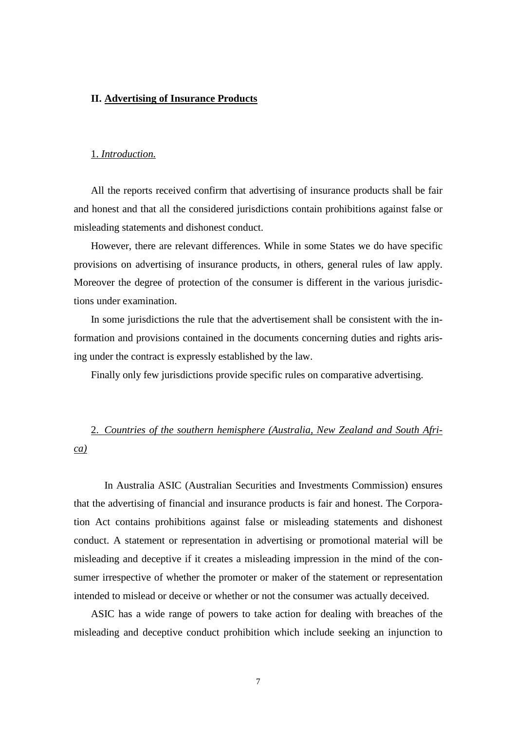#### **II. Advertising of Insurance Products**

#### 1. *Introduction.*

All the reports received confirm that advertising of insurance products shall be fair and honest and that all the considered jurisdictions contain prohibitions against false or misleading statements and dishonest conduct.

However, there are relevant differences. While in some States we do have specific provisions on advertising of insurance products, in others, general rules of law apply. Moreover the degree of protection of the consumer is different in the various jurisdictions under examination.

In some jurisdictions the rule that the advertisement shall be consistent with the information and provisions contained in the documents concerning duties and rights arising under the contract is expressly established by the law.

Finally only few jurisdictions provide specific rules on comparative advertising.

## 2. *Countries of the southern hemisphere (Australia, New Zealand and South Africa)*

 In Australia ASIC (Australian Securities and Investments Commission) ensures that the advertising of financial and insurance products is fair and honest. The Corporation Act contains prohibitions against false or misleading statements and dishonest conduct. A statement or representation in advertising or promotional material will be misleading and deceptive if it creates a misleading impression in the mind of the consumer irrespective of whether the promoter or maker of the statement or representation intended to mislead or deceive or whether or not the consumer was actually deceived.

ASIC has a wide range of powers to take action for dealing with breaches of the misleading and deceptive conduct prohibition which include seeking an injunction to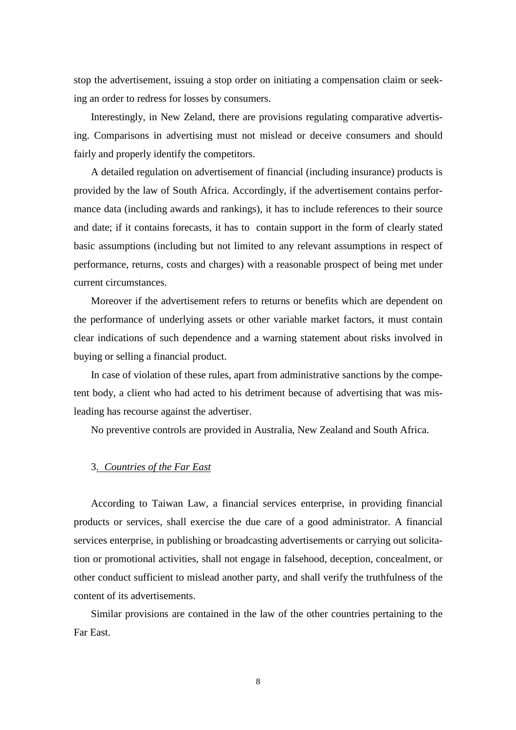stop the advertisement, issuing a stop order on initiating a compensation claim or seeking an order to redress for losses by consumers.

Interestingly, in New Zeland, there are provisions regulating comparative advertising. Comparisons in advertising must not mislead or deceive consumers and should fairly and properly identify the competitors.

A detailed regulation on advertisement of financial (including insurance) products is provided by the law of South Africa. Accordingly, if the advertisement contains performance data (including awards and rankings), it has to include references to their source and date; if it contains forecasts, it has to contain support in the form of clearly stated basic assumptions (including but not limited to any relevant assumptions in respect of performance, returns, costs and charges) with a reasonable prospect of being met under current circumstances.

Moreover if the advertisement refers to returns or benefits which are dependent on the performance of underlying assets or other variable market factors, it must contain clear indications of such dependence and a warning statement about risks involved in buying or selling a financial product.

In case of violation of these rules, apart from administrative sanctions by the competent body, a client who had acted to his detriment because of advertising that was misleading has recourse against the advertiser.

No preventive controls are provided in Australia, New Zealand and South Africa.

#### 3. *Countries of the Far East*

According to Taiwan Law, a financial services enterprise, in providing financial products or services, shall exercise the due care of a good administrator. A financial services enterprise, in publishing or broadcasting advertisements or carrying out solicitation or promotional activities, shall not engage in falsehood, deception, concealment, or other conduct sufficient to mislead another party, and shall verify the truthfulness of the content of its advertisements.

Similar provisions are contained in the law of the other countries pertaining to the Far East.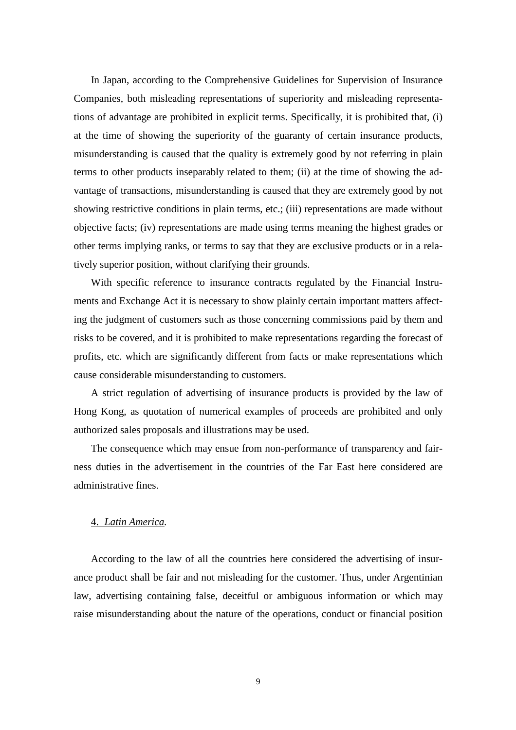In Japan, according to the Comprehensive Guidelines for Supervision of Insurance Companies, both misleading representations of superiority and misleading representations of advantage are prohibited in explicit terms. Specifically, it is prohibited that, (i) at the time of showing the superiority of the guaranty of certain insurance products, misunderstanding is caused that the quality is extremely good by not referring in plain terms to other products inseparably related to them; (ii) at the time of showing the advantage of transactions, misunderstanding is caused that they are extremely good by not showing restrictive conditions in plain terms, etc.; (iii) representations are made without objective facts; (iv) representations are made using terms meaning the highest grades or other terms implying ranks, or terms to say that they are exclusive products or in a relatively superior position, without clarifying their grounds.

With specific reference to insurance contracts regulated by the Financial Instruments and Exchange Act it is necessary to show plainly certain important matters affecting the judgment of customers such as those concerning commissions paid by them and risks to be covered, and it is prohibited to make representations regarding the forecast of profits, etc. which are significantly different from facts or make representations which cause considerable misunderstanding to customers.

A strict regulation of advertising of insurance products is provided by the law of Hong Kong, as quotation of numerical examples of proceeds are prohibited and only authorized sales proposals and illustrations may be used.

The consequence which may ensue from non-performance of transparency and fairness duties in the advertisement in the countries of the Far East here considered are administrative fines.

#### 4. *Latin America.*

According to the law of all the countries here considered the advertising of insurance product shall be fair and not misleading for the customer. Thus, under Argentinian law, advertising containing false, deceitful or ambiguous information or which may raise misunderstanding about the nature of the operations, conduct or financial position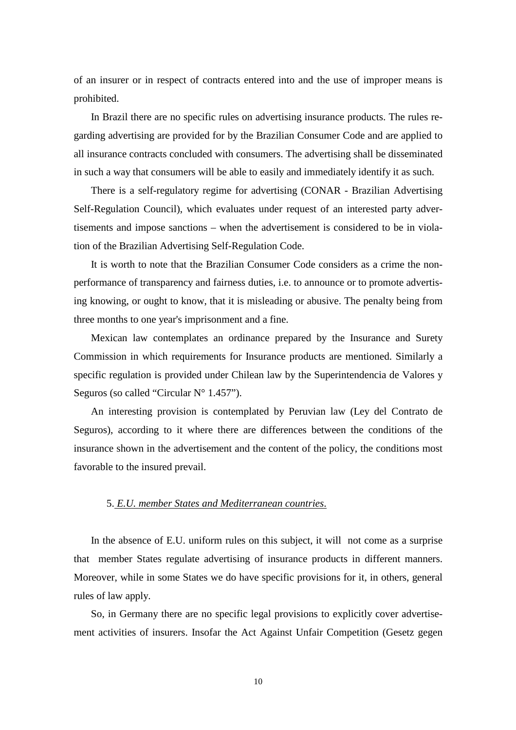of an insurer or in respect of contracts entered into and the use of improper means is prohibited.

In Brazil there are no specific rules on advertising insurance products. The rules regarding advertising are provided for by the Brazilian Consumer Code and are applied to all insurance contracts concluded with consumers. The advertising shall be disseminated in such a way that consumers will be able to easily and immediately identify it as such.

There is a self-regulatory regime for advertising (CONAR - Brazilian Advertising Self-Regulation Council), which evaluates under request of an interested party advertisements and impose sanctions – when the advertisement is considered to be in violation of the Brazilian Advertising Self-Regulation Code.

It is worth to note that the Brazilian Consumer Code considers as a crime the nonperformance of transparency and fairness duties, i.e. to announce or to promote advertising knowing, or ought to know, that it is misleading or abusive. The penalty being from three months to one year's imprisonment and a fine.

Mexican law contemplates an ordinance prepared by the Insurance and Surety Commission in which requirements for Insurance products are mentioned. Similarly a specific regulation is provided under Chilean law by the Superintendencia de Valores y Seguros (so called "Circular N° 1.457").

An interesting provision is contemplated by Peruvian law (Ley del Contrato de Seguros), according to it where there are differences between the conditions of the insurance shown in the advertisement and the content of the policy, the conditions most favorable to the insured prevail.

#### 5. *E.U. member States and Mediterranean countries*.

In the absence of E.U. uniform rules on this subject, it will not come as a surprise that member States regulate advertising of insurance products in different manners. Moreover, while in some States we do have specific provisions for it, in others, general rules of law apply.

So, in Germany there are no specific legal provisions to explicitly cover advertisement activities of insurers. Insofar the Act Against Unfair Competition (Gesetz gegen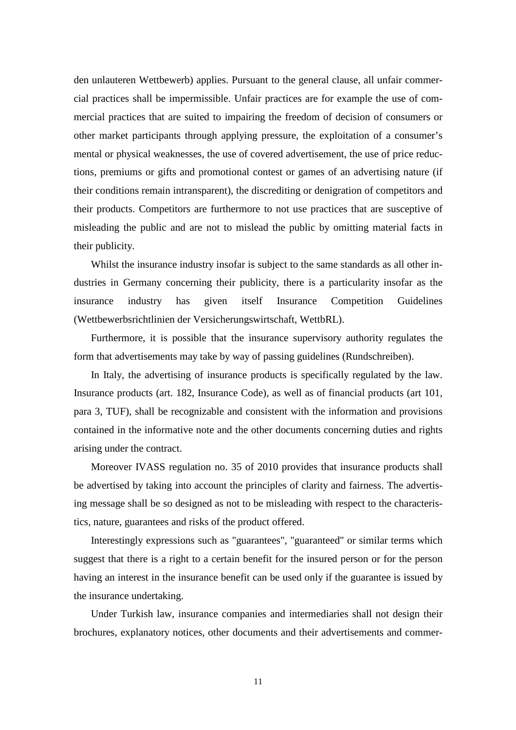den unlauteren Wettbewerb) applies. Pursuant to the general clause, all unfair commercial practices shall be impermissible. Unfair practices are for example the use of commercial practices that are suited to impairing the freedom of decision of consumers or other market participants through applying pressure, the exploitation of a consumer's mental or physical weaknesses, the use of covered advertisement, the use of price reductions, premiums or gifts and promotional contest or games of an advertising nature (if their conditions remain intransparent), the discrediting or denigration of competitors and their products. Competitors are furthermore to not use practices that are susceptive of misleading the public and are not to mislead the public by omitting material facts in their publicity.

Whilst the insurance industry insofar is subject to the same standards as all other industries in Germany concerning their publicity, there is a particularity insofar as the insurance industry has given itself Insurance Competition Guidelines (Wettbewerbsrichtlinien der Versicherungswirtschaft, WettbRL).

Furthermore, it is possible that the insurance supervisory authority regulates the form that advertisements may take by way of passing guidelines (Rundschreiben).

In Italy, the advertising of insurance products is specifically regulated by the law. Insurance products (art. 182, Insurance Code), as well as of financial products (art 101, para 3, TUF), shall be recognizable and consistent with the information and provisions contained in the informative note and the other documents concerning duties and rights arising under the contract.

Moreover IVASS regulation no. 35 of 2010 provides that insurance products shall be advertised by taking into account the principles of clarity and fairness. The advertising message shall be so designed as not to be misleading with respect to the characteristics, nature, guarantees and risks of the product offered.

Interestingly expressions such as "guarantees", "guaranteed" or similar terms which suggest that there is a right to a certain benefit for the insured person or for the person having an interest in the insurance benefit can be used only if the guarantee is issued by the insurance undertaking.

Under Turkish law, insurance companies and intermediaries shall not design their brochures, explanatory notices, other documents and their advertisements and commer